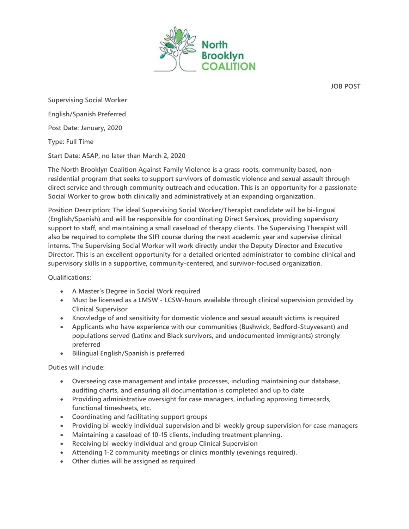

**JOB POST**

**Supervising Social Worker**

**English/Spanish Preferred**

**Post Date: January, 2020**

**Type: Full Time**

**Start Date: ASAP, no later than March 2, 2020**

**The North Brooklyn Coalition Against Family Violence is a grass-roots, community based, nonresidential program that seeks to support survivors of domestic violence and sexual assault through direct service and through community outreach and education. This is an opportunity for a passionate Social Worker to grow both clinically and administratively at an expanding organization.**

**Position Description: The ideal Supervising Social Worker/Therapist candidate will be bi-lingual (English/Spanish) and will be responsible for coordinating Direct Services, providing supervisory support to staff, and maintaining a small caseload of therapy clients. The Supervising Therapist will also be required to complete the SIFI course during the next academic year and supervise clinical interns. The Supervising Social Worker will work directly under the Deputy Director and Executive Director. This is an excellent opportunity for a detailed oriented administrator to combine clinical and supervisory skills in a supportive, community-centered, and survivor-focused organization.**

**Qualifications:**

- **A Master's Degree in Social Work required**
- **Must be licensed as a LMSW - LCSW-hours available through clinical supervision provided by Clinical Supervisor**
- **Knowledge of and sensitivity for domestic violence and sexual assault victims is required**
- **Applicants who have experience with our communities (Bushwick, Bedford-Stuyvesant) and populations served (Latinx and Black survivors, and undocumented immigrants) strongly preferred**
- **Bilingual English/Spanish is preferred**

**Duties will include:**

- **Overseeing case management and intake processes, including maintaining our database, auditing charts, and ensuring all documentation is completed and up to date**
- **Providing administrative oversight for case managers, including approving timecards, functional timesheets, etc.**
- **Coordinating and facilitating support groups**
- **Providing bi-weekly individual supervision and bi-weekly group supervision for case managers**
- **Maintaining a caseload of 10-15 clients, including treatment planning.**
- **Receiving bi-weekly individual and group Clinical Supervision**
- **Attending 1-2 community meetings or clinics monthly (evenings required).**
- **Other duties will be assigned as required.**